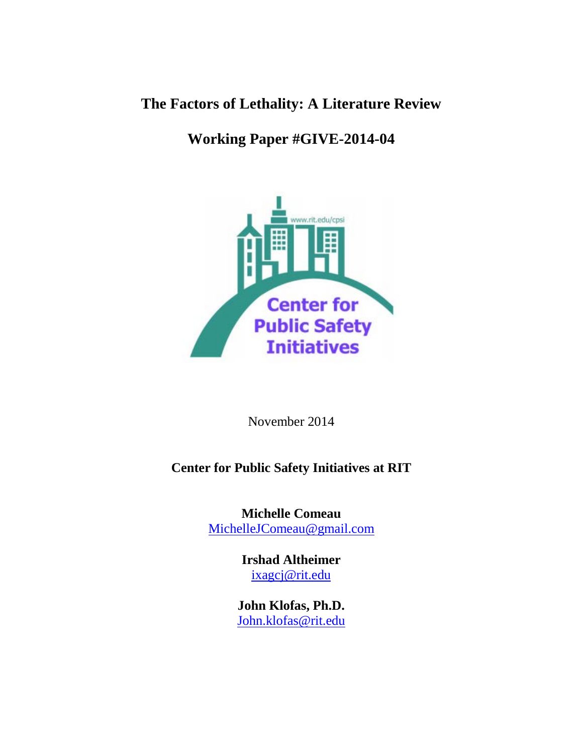## **The Factors of Lethality: A Literature Review**

# **Working Paper #GIVE-2014-04**



November 2014

### **Center for Public Safety Initiatives at RIT**

**Michelle Comeau** [MichelleJComeau@gmail.com](mailto:MichelleJComeau@gmail.com)

> **Irshad Altheimer** [ixagcj@rit.edu](mailto:ixagcj@rit.edu)

**John Klofas, Ph.D.**  [John.klofas@rit.edu](mailto:John.klofas@rit.edu)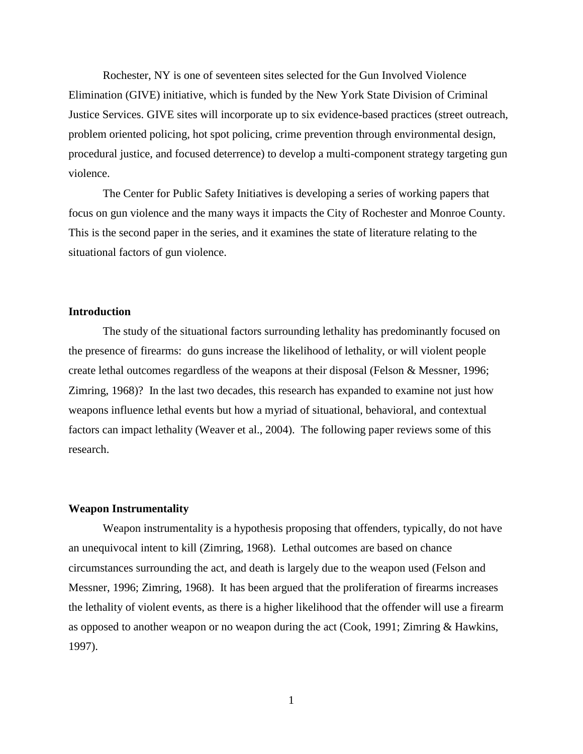Rochester, NY is one of seventeen sites selected for the Gun Involved Violence Elimination (GIVE) initiative, which is funded by the New York State Division of Criminal Justice Services. GIVE sites will incorporate up to six evidence-based practices (street outreach, problem oriented policing, hot spot policing, crime prevention through environmental design, procedural justice, and focused deterrence) to develop a multi-component strategy targeting gun violence.

The Center for Public Safety Initiatives is developing a series of working papers that focus on gun violence and the many ways it impacts the City of Rochester and Monroe County. This is the second paper in the series, and it examines the state of literature relating to the situational factors of gun violence.

#### **Introduction**

The study of the situational factors surrounding lethality has predominantly focused on the presence of firearms: do guns increase the likelihood of lethality, or will violent people create lethal outcomes regardless of the weapons at their disposal (Felson & Messner, 1996; Zimring, 1968)? In the last two decades, this research has expanded to examine not just how weapons influence lethal events but how a myriad of situational, behavioral, and contextual factors can impact lethality (Weaver et al., 2004). The following paper reviews some of this research.

#### **Weapon Instrumentality**

Weapon instrumentality is a hypothesis proposing that offenders, typically, do not have an unequivocal intent to kill (Zimring, 1968). Lethal outcomes are based on chance circumstances surrounding the act, and death is largely due to the weapon used (Felson and Messner, 1996; Zimring, 1968). It has been argued that the proliferation of firearms increases the lethality of violent events, as there is a higher likelihood that the offender will use a firearm as opposed to another weapon or no weapon during the act (Cook, 1991; Zimring & Hawkins, 1997).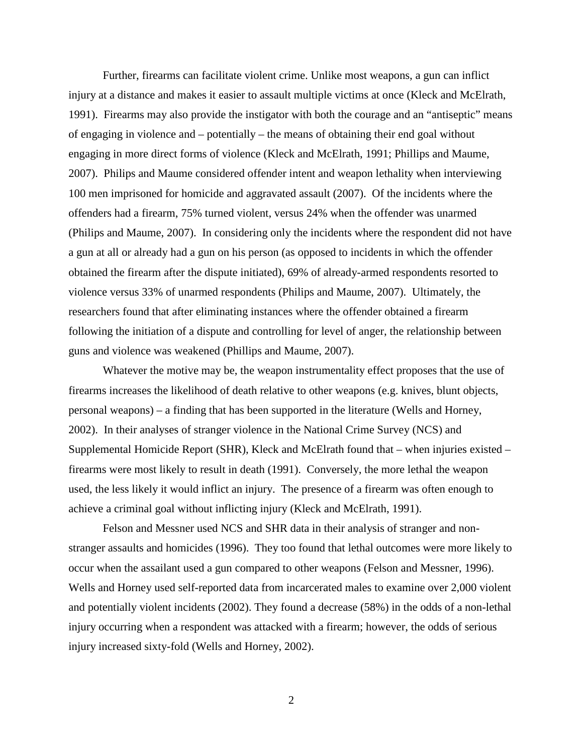Further, firearms can facilitate violent crime. Unlike most weapons, a gun can inflict injury at a distance and makes it easier to assault multiple victims at once (Kleck and McElrath, 1991). Firearms may also provide the instigator with both the courage and an "antiseptic" means of engaging in violence and – potentially – the means of obtaining their end goal without engaging in more direct forms of violence (Kleck and McElrath, 1991; Phillips and Maume, 2007). Philips and Maume considered offender intent and weapon lethality when interviewing 100 men imprisoned for homicide and aggravated assault (2007). Of the incidents where the offenders had a firearm, 75% turned violent, versus 24% when the offender was unarmed (Philips and Maume, 2007). In considering only the incidents where the respondent did not have a gun at all or already had a gun on his person (as opposed to incidents in which the offender obtained the firearm after the dispute initiated), 69% of already-armed respondents resorted to violence versus 33% of unarmed respondents (Philips and Maume, 2007). Ultimately, the researchers found that after eliminating instances where the offender obtained a firearm following the initiation of a dispute and controlling for level of anger, the relationship between guns and violence was weakened (Phillips and Maume, 2007).

Whatever the motive may be, the weapon instrumentality effect proposes that the use of firearms increases the likelihood of death relative to other weapons (e.g. knives, blunt objects, personal weapons) – a finding that has been supported in the literature (Wells and Horney, 2002). In their analyses of stranger violence in the National Crime Survey (NCS) and Supplemental Homicide Report (SHR), Kleck and McElrath found that – when injuries existed – firearms were most likely to result in death (1991). Conversely, the more lethal the weapon used, the less likely it would inflict an injury. The presence of a firearm was often enough to achieve a criminal goal without inflicting injury (Kleck and McElrath, 1991).

Felson and Messner used NCS and SHR data in their analysis of stranger and nonstranger assaults and homicides (1996). They too found that lethal outcomes were more likely to occur when the assailant used a gun compared to other weapons (Felson and Messner, 1996). Wells and Horney used self-reported data from incarcerated males to examine over 2,000 violent and potentially violent incidents (2002). They found a decrease (58%) in the odds of a non-lethal injury occurring when a respondent was attacked with a firearm; however, the odds of serious injury increased sixty-fold (Wells and Horney, 2002).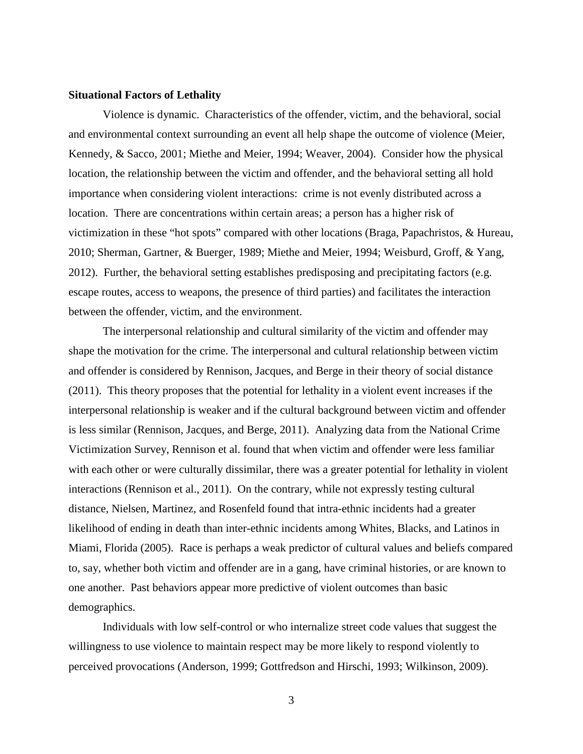#### **Situational Factors of Lethality**

Violence is dynamic. Characteristics of the offender, victim, and the behavioral, social and environmental context surrounding an event all help shape the outcome of violence (Meier, Kennedy, & Sacco, 2001; Miethe and Meier, 1994; Weaver, 2004). Consider how the physical location, the relationship between the victim and offender, and the behavioral setting all hold importance when considering violent interactions: crime is not evenly distributed across a location. There are concentrations within certain areas; a person has a higher risk of victimization in these "hot spots" compared with other locations (Braga, Papachristos, & Hureau, 2010; Sherman, Gartner, & Buerger, 1989; Miethe and Meier, 1994; Weisburd, Groff, & Yang, 2012). Further, the behavioral setting establishes predisposing and precipitating factors (e.g. escape routes, access to weapons, the presence of third parties) and facilitates the interaction between the offender, victim, and the environment.

The interpersonal relationship and cultural similarity of the victim and offender may shape the motivation for the crime. The interpersonal and cultural relationship between victim and offender is considered by Rennison, Jacques, and Berge in their theory of social distance (2011). This theory proposes that the potential for lethality in a violent event increases if the interpersonal relationship is weaker and if the cultural background between victim and offender is less similar (Rennison, Jacques, and Berge, 2011). Analyzing data from the National Crime Victimization Survey, Rennison et al. found that when victim and offender were less familiar with each other or were culturally dissimilar, there was a greater potential for lethality in violent interactions (Rennison et al., 2011). On the contrary, while not expressly testing cultural distance, Nielsen, Martinez, and Rosenfeld found that intra-ethnic incidents had a greater likelihood of ending in death than inter-ethnic incidents among Whites, Blacks, and Latinos in Miami, Florida (2005). Race is perhaps a weak predictor of cultural values and beliefs compared to, say, whether both victim and offender are in a gang, have criminal histories, or are known to one another. Past behaviors appear more predictive of violent outcomes than basic demographics.

Individuals with low self-control or who internalize street code values that suggest the willingness to use violence to maintain respect may be more likely to respond violently to perceived provocations (Anderson, 1999; Gottfredson and Hirschi, 1993; Wilkinson, 2009).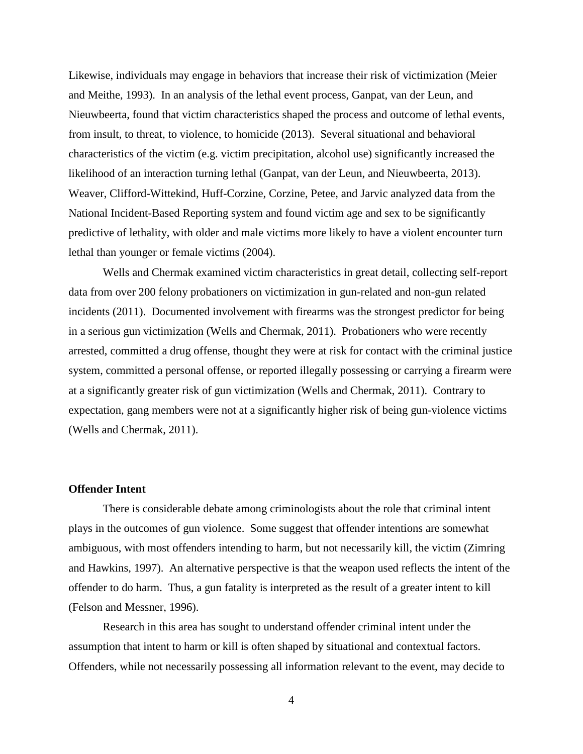Likewise, individuals may engage in behaviors that increase their risk of victimization (Meier and Meithe, 1993). In an analysis of the lethal event process, Ganpat, van der Leun, and Nieuwbeerta, found that victim characteristics shaped the process and outcome of lethal events, from insult, to threat, to violence, to homicide (2013). Several situational and behavioral characteristics of the victim (e.g. victim precipitation, alcohol use) significantly increased the likelihood of an interaction turning lethal (Ganpat, van der Leun, and Nieuwbeerta, 2013). Weaver, Clifford-Wittekind, Huff-Corzine, Corzine, Petee, and Jarvic analyzed data from the National Incident-Based Reporting system and found victim age and sex to be significantly predictive of lethality, with older and male victims more likely to have a violent encounter turn lethal than younger or female victims (2004).

Wells and Chermak examined victim characteristics in great detail, collecting self-report data from over 200 felony probationers on victimization in gun-related and non-gun related incidents (2011). Documented involvement with firearms was the strongest predictor for being in a serious gun victimization (Wells and Chermak, 2011). Probationers who were recently arrested, committed a drug offense, thought they were at risk for contact with the criminal justice system, committed a personal offense, or reported illegally possessing or carrying a firearm were at a significantly greater risk of gun victimization (Wells and Chermak, 2011). Contrary to expectation, gang members were not at a significantly higher risk of being gun-violence victims (Wells and Chermak, 2011).

#### **Offender Intent**

There is considerable debate among criminologists about the role that criminal intent plays in the outcomes of gun violence. Some suggest that offender intentions are somewhat ambiguous, with most offenders intending to harm, but not necessarily kill, the victim (Zimring and Hawkins, 1997). An alternative perspective is that the weapon used reflects the intent of the offender to do harm. Thus, a gun fatality is interpreted as the result of a greater intent to kill (Felson and Messner, 1996).

Research in this area has sought to understand offender criminal intent under the assumption that intent to harm or kill is often shaped by situational and contextual factors. Offenders, while not necessarily possessing all information relevant to the event, may decide to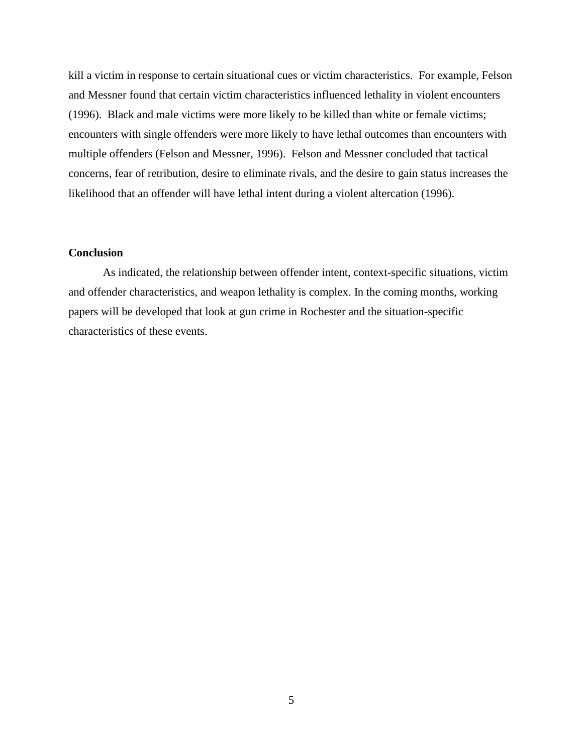kill a victim in response to certain situational cues or victim characteristics. For example, Felson and Messner found that certain victim characteristics influenced lethality in violent encounters (1996). Black and male victims were more likely to be killed than white or female victims; encounters with single offenders were more likely to have lethal outcomes than encounters with multiple offenders (Felson and Messner, 1996). Felson and Messner concluded that tactical concerns, fear of retribution, desire to eliminate rivals, and the desire to gain status increases the likelihood that an offender will have lethal intent during a violent altercation (1996).

#### **Conclusion**

As indicated, the relationship between offender intent, context-specific situations, victim and offender characteristics, and weapon lethality is complex. In the coming months, working papers will be developed that look at gun crime in Rochester and the situation-specific characteristics of these events.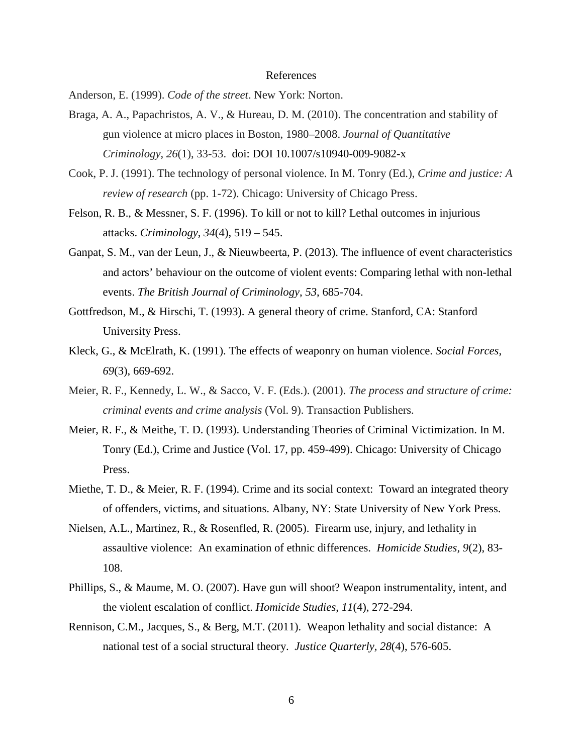#### References

Anderson, E. (1999). *Code of the street*. New York: Norton.

- Braga, A. A., Papachristos, A. V., & Hureau, D. M. (2010). The concentration and stability of gun violence at micro places in Boston, 1980–2008. *Journal of Quantitative Criminology*, *26*(1), 33-53. doi: DOI 10.1007/s10940-009-9082-x
- Cook, P. J. (1991). The technology of personal violence. In M. Tonry (Ed.), *Crime and justice: A review of research* (pp. 1-72). Chicago: University of Chicago Press.
- Felson, R. B., & Messner, S. F. (1996). To kill or not to kill? Lethal outcomes in injurious attacks. *Criminology*, *34*(4), 519 – 545.
- Ganpat, S. M., van der Leun, J., & Nieuwbeerta, P. (2013). The influence of event characteristics and actors' behaviour on the outcome of violent events: Comparing lethal with non-lethal events. *The British Journal of Criminology*, *53*, 685-704.
- Gottfredson, M., & Hirschi, T. (1993). A general theory of crime. Stanford, CA: Stanford University Press.
- Kleck, G., & McElrath, K. (1991). The effects of weaponry on human violence. *Social Forces*, *69*(3), 669-692.
- Meier, R. F., Kennedy, L. W., & Sacco, V. F. (Eds.). (2001). *The process and structure of crime: criminal events and crime analysis* (Vol. 9). Transaction Publishers.
- Meier, R. F., & Meithe, T. D. (1993). Understanding Theories of Criminal Victimization. In M. Tonry (Ed.), Crime and Justice (Vol. 17, pp. 459-499). Chicago: University of Chicago Press.
- Miethe, T. D., & Meier, R. F. (1994). Crime and its social context: Toward an integrated theory of offenders, victims, and situations. Albany, NY: State University of New York Press.
- Nielsen, A.L., Martinez, R., & Rosenfled, R. (2005). Firearm use, injury, and lethality in assaultive violence: An examination of ethnic differences. *Homicide Studies, 9*(2), 83- 108.
- Phillips, S., & Maume, M. O. (2007). Have gun will shoot? Weapon instrumentality, intent, and the violent escalation of conflict. *Homicide Studies*, *11*(4), 272-294.
- Rennison, C.M., Jacques, S., & Berg, M.T. (2011). Weapon lethality and social distance: A national test of a social structural theory. *Justice Quarterly, 28*(4), 576-605.